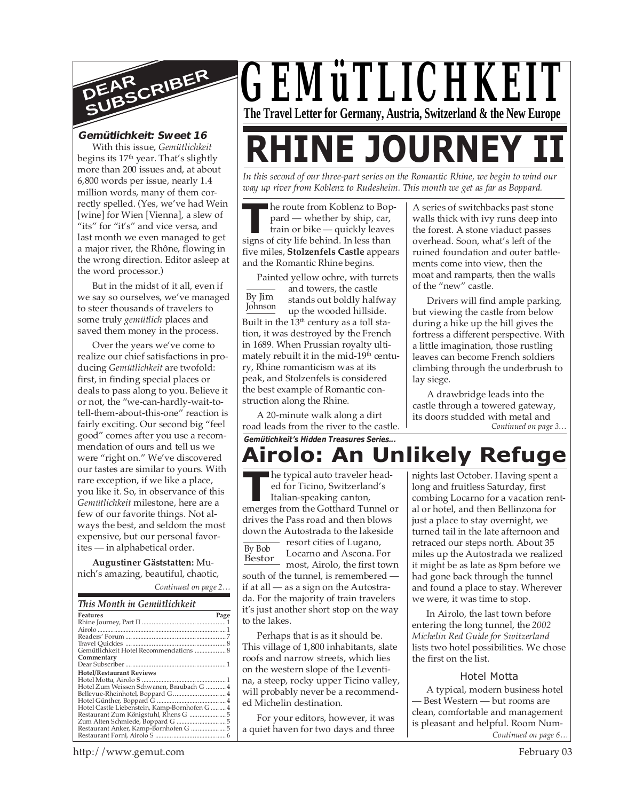

#### **Gemütlichkeit: Sweet 16**

With this issue, *Gemütlichkeit* begins its  $17<sup>th</sup>$  year. That's slightly more than 200 issues and, at about 6,800 words per issue, nearly 1.4 million words, many of them correctly spelled. (Yes, we've had Wein [wine] for Wien [Vienna], a slew of "its" for "it's" and vice versa, and last month we even managed to get a major river, the Rhône, flowing in the wrong direction. Editor asleep at the word processor.)

But in the midst of it all, even if we say so ourselves, we've managed to steer thousands of travelers to some truly *gemütlich* places and saved them money in the process.

Over the years we've come to realize our chief satisfactions in producing *Gemütlichkeit* are twofold: first, in finding special places or deals to pass along to you. Believe it or not, the "we-can-hardly-wait-totell-them-about-this-one" reaction is fairly exciting. Our second big "feel good" comes after you use a recommendation of ours and tell us we were "right on." We've discovered our tastes are similar to yours. With rare exception, if we like a place, you like it. So, in observance of this *Gemütlichkeit* milestone, here are a few of our favorite things. Not always the best, and seldom the most expensive, but our personal favorites — in alphabetical order.

**Augustiner Gäststatten:** Munich's amazing, beautiful, chaotic,

*Continued on page 2…*

#### *This Month in Gemütlichkeit*

| Features                                      | Page |
|-----------------------------------------------|------|
|                                               |      |
|                                               |      |
|                                               |      |
|                                               |      |
| Gemütlichkeit Hotel Recommendations  8        |      |
| Commentary                                    |      |
|                                               |      |
| <b>Hotel/Restaurant Reviews</b>               |      |
|                                               |      |
| Hotel Zum Weissen Schwanen, Braubach G  4     |      |
|                                               |      |
|                                               |      |
| Hotel Castle Liebenstein, Kamp-Bornhofen G  4 |      |
|                                               |      |
|                                               |      |
|                                               |      |
|                                               |      |

# *GEMüTLICHKEIT* **The Travel Letter for Germany, Austria, Switzerland & the New Europe**

# **RHINE JOURNEY**

*In this second of our three-part series on the Romantic Rhine, we begin to wind our way up river from Koblenz to Rudesheim. This month we get as far as Boppard.*

**The route from Koblenz to Boy pard — whether by ship, car, train or bike — quickly leave signs of city life behind. In less than** he route from Koblenz to Boppard — whether by ship, car, train or bike — quickly leaves five miles, **Stolzenfels Castle** appears and the Romantic Rhine begins.

By Jim Johnson Painted yellow ochre, with turrets and towers, the castle stands out boldly halfway up the wooded hillside. Built in the  $13<sup>th</sup>$  century as a toll station, it was destroyed by the French in 1689. When Prussian royalty ultimately rebuilt it in the mid-19<sup>th</sup> century, Rhine romanticism was at its peak, and Stolzenfels is considered the best example of Romantic construction along the Rhine.

A 20-minute walk along a dirt road leads from the river to the castle. *Gemütichkeit's Hidden Treasures Series...*

A series of switchbacks past stone walls thick with ivy runs deep into the forest. A stone viaduct passes overhead. Soon, what's left of the ruined foundation and outer battlements come into view, then the moat and ramparts, then the walls of the "new" castle.

Drivers will find ample parking, but viewing the castle from below during a hike up the hill gives the fortress a different perspective. With a little imagination, those rustling leaves can become French soldiers climbing through the underbrush to lay siege.

*Continued on page 3…* A drawbridge leads into the castle through a towered gateway, its doors studded with metal and

# **Airolo: An Unlikely Refuge**

he typical auto traveler headed for Ticino, Switzerland's Italian-speaking canton, **Example 18 Algebrary Propendical auto traveler headed for Ticino, Switzerland's Italian-speaking canton, emerges from the Gotthard Tunnel or** drives the Pass road and then blows down the Autostrada to the lakeside resort cities of Lugano,

By Bob

Locarno and Ascona. For most, Airolo, the first town south of the tunnel, is remembered if at all — as a sign on the Autostrada. For the majority of train travelers it's just another short stop on the way to the lakes. Bestor

Perhaps that is as it should be. This village of 1,800 inhabitants, slate roofs and narrow streets, which lies on the western slope of the Leventina, a steep, rocky upper Ticino valley, will probably never be a recommended Michelin destination.

For your editors, however, it was a quiet haven for two days and three nights last October. Having spent a long and fruitless Saturday, first combing Locarno for a vacation rental or hotel, and then Bellinzona for just a place to stay overnight, we turned tail in the late afternoon and retraced our steps north. About 35 miles up the Autostrada we realized it might be as late as 8pm before we had gone back through the tunnel and found a place to stay. Wherever we were, it was time to stop.

In Airolo, the last town before entering the long tunnel, the *2002 Michelin Red Guide for Switzerland* lists two hotel possibilities. We chose the first on the list.

#### Hotel Motta

*Continued on page 6…* A typical, modern business hotel — Best Western — but rooms are clean, comfortable and management is pleasant and helpful. Room Num-

http://www.gemut.com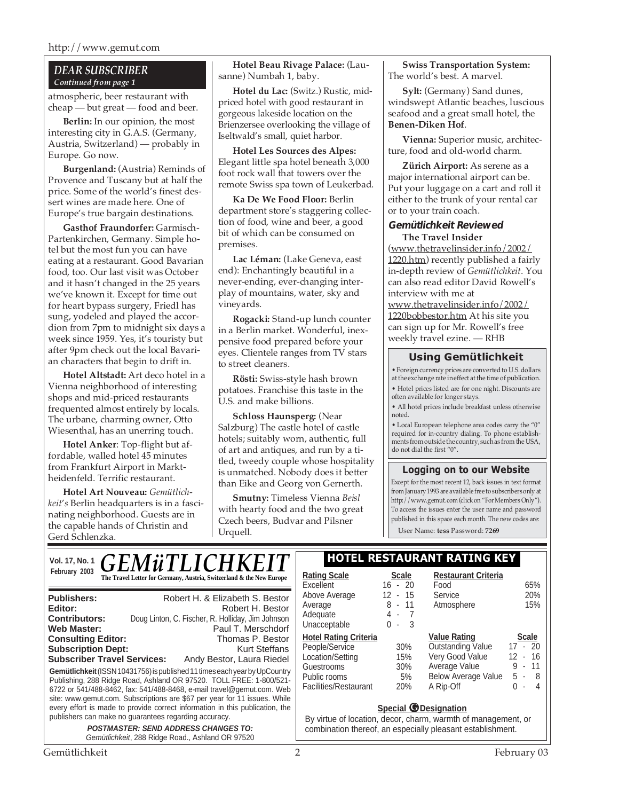http://www.gemut.com

#### *DEAR SUBSCRIBER Continued from page 1*

atmospheric, beer restaurant with cheap — but great — food and beer.

**Berlin:** In our opinion, the most interesting city in G.A.S. (Germany, Austria, Switzerland) — probably in Europe. Go now.

**Burgenland:** (Austria) Reminds of Provence and Tuscany but at half the price. Some of the world's finest dessert wines are made here. One of Europe's true bargain destinations.

**Gasthof Fraundorfer:** Garmisch-Partenkirchen, Germany. Simple hotel but the most fun you can have eating at a restaurant. Good Bavarian food, too. Our last visit was October and it hasn't changed in the 25 years we've known it. Except for time out for heart bypass surgery, Friedl has sung, yodeled and played the accordion from 7pm to midnight six days a week since 1959. Yes, it's touristy but after 9pm check out the local Bavarian characters that begin to drift in.

**Hotel Altstadt:** Art deco hotel in a Vienna neighborhood of interesting shops and mid-priced restaurants frequented almost entirely by locals. The urbane, charming owner, Otto Wiesenthal, has an unerring touch.

**Hotel Anker**: Top-flight but affordable, walled hotel 45 minutes from Frankfurt Airport in Marktheidenfeld. Terrific restaurant.

**Hotel Art Nouveau:** *Gemütlichkeit*'*s* Berlin headquarters is in a fascinating neighborhood. Guests are in the capable hands of Christin and Gerd Schlenzka.

**Hotel Beau Rivage Palace:** (Lausanne) Numbah 1, baby.

**Hotel du Lac:** (Switz.) Rustic, midpriced hotel with good restaurant in gorgeous lakeside location on the Brienzersee overlooking the village of Iseltwald's small, quiet harbor.

**Hotel Les Sources des Alpes:** Elegant little spa hotel beneath 3,000 foot rock wall that towers over the remote Swiss spa town of Leukerbad.

**Ka De We Food Floor:** Berlin department store's staggering collection of food, wine and beer, a good bit of which can be consumed on premises.

**Lac Léman:** (Lake Geneva, east end): Enchantingly beautiful in a never-ending, ever-changing interplay of mountains, water, sky and vineyards.

**Rogacki:** Stand-up lunch counter in a Berlin market. Wonderful, inexpensive food prepared before your eyes. Clientele ranges from TV stars to street cleaners.

**Rösti:** Swiss-style hash brown potatoes. Franchise this taste in the U.S. and make billions.

**Schloss Haunsperg:** (Near Salzburg) The castle hotel of castle hotels; suitably worn, authentic, full of art and antiques, and run by a titled, tweedy couple whose hospitality is unmatched. Nobody does it better than Eike and Georg von Gernerth.

**Smutny:** Timeless Vienna *Beisl* with hearty food and the two great Czech beers, Budvar and Pilsner Urquell.

**Swiss Transportation System:** The world's best. A marvel.

**Sylt:** (Germany) Sand dunes, windswept Atlantic beaches, luscious seafood and a great small hotel, the **Benen-Diken Hof**.

**Vienna:** Superior music, architecture, food and old-world charm.

**Zürich Airport:** As serene as a major international airport can be. Put your luggage on a cart and roll it either to the trunk of your rental car or to your train coach.

#### **Gemütlichkeit Reviewed The Travel Insider**

(www.thetravelinsider.info/2002/ 1220.htm) recently published a fairly in-depth review of *Gemütlichkeit*. You can also read editor David Rowell's interview with me at www.thetravelinsider.info/2002/ 1220bobbestor.htm At his site you can sign up for Mr. Rowell's free weekly travel ezine. — RHB

#### **Using Gemütlichkeit**

• Foreign currency prices are converted to U.S. dollars at the exchange rate in effect at the time of publication. • Hotel prices listed are for one night. Discounts are often available for longer stays.

• All hotel prices include breakfast unless otherwise noted.

• Local European telephone area codes carry the "0" required for in-country dialing. To phone establishments from outside the country, such as from the USA, do not dial the first "0".

#### **Logging on to our Website**

Except for the most recent 12, back issues in text format from January 1993 are available free to subscribers only at http://www.gemut.com (click on "For Members Only"). To access the issues enter the user name and password published in this space each month. The new codes are:

User Name: **tess** Password: **7269**

| Vol. 17, No. 1                                                                                                                                                              | <b>GEMÜTLICHKEIT</b>                                                                                                                                                                                                                                                                                                                                                                                                                                                                                               |                                                                                                                                                                                   |                                                                           | <b>HOTEL RESTAURANT RATING KEY</b>                                                                                                                      |          |
|-----------------------------------------------------------------------------------------------------------------------------------------------------------------------------|--------------------------------------------------------------------------------------------------------------------------------------------------------------------------------------------------------------------------------------------------------------------------------------------------------------------------------------------------------------------------------------------------------------------------------------------------------------------------------------------------------------------|-----------------------------------------------------------------------------------------------------------------------------------------------------------------------------------|---------------------------------------------------------------------------|---------------------------------------------------------------------------------------------------------------------------------------------------------|----------|
| February 2003                                                                                                                                                               | The Travel Letter for Germany, Austria, Switzerland & the New Europe                                                                                                                                                                                                                                                                                                                                                                                                                                               | <b>Rating Scale</b><br>Excellent                                                                                                                                                  | <b>Scale</b><br>$16 - 20$                                                 | <b>Restaurant Criteria</b><br>Food                                                                                                                      |          |
| <b>Publishers:</b><br>Editor:<br><b>Contributors:</b><br><b>Web Master:</b><br><b>Consulting Editor:</b><br><b>Subscription Dept:</b><br><b>Subscriber Travel Services:</b> | Robert H. & Elizabeth S. Bestor<br>Robert H. Bestor<br>Doug Linton, C. Fischer, R. Holliday, Jim Johnson<br>Paul T. Merschdorf<br>Thomas P. Bestor<br><b>Kurt Steffans</b><br>Andy Bestor, Laura Riedel<br>Gemütlichkeit (ISSN 10431756) is published 11 times each year by UpCountry<br>Publishing, 288 Ridge Road, Ashland OR 97520. TOLL FREE: 1-800/521-<br>6722 or 541/488-8462, fax: 541/488-8468, e-mail travel@gemut.com. Web<br>site: www.gemut.com. Subscriptions are \$67 per year for 11 issues. While | Above Average<br>Average<br>Adequate<br>Unacceptable<br><b>Hotel Rating Criteria</b><br>People/Service<br>Location/Setting<br>Guestrooms<br>Public rooms<br>Facilities/Restaurant | $12 - 15$<br>$8 - 11$<br>4-7<br>$0 - 3$<br>30%<br>15%<br>30%<br>5%<br>20% | Service<br>Atmosphere<br><b>Value Rating</b><br><b>Outstanding Value</b><br>Very Good Value<br>Average Value<br><b>Below Average Value</b><br>A Rip-Off | 17<br>12 |
|                                                                                                                                                                             | every effort is made to provide correct information in this publication, the<br>publishers can make no guarantees regarding accuracy.<br><b>POSTMASTER: SEND ADDRESS CHANGES TO:</b>                                                                                                                                                                                                                                                                                                                               |                                                                                                                                                                                   |                                                                           | <b>Special @Designation</b><br>By virtue of location, decor, charm, warmth of managemen<br>combination thereof, an especially pleasant establishment    |          |
|                                                                                                                                                                             | Gemütlichkeit, 288 Ridge Road., Ashland OR 97520                                                                                                                                                                                                                                                                                                                                                                                                                                                                   |                                                                                                                                                                                   |                                                                           |                                                                                                                                                         |          |

|          |                            | 65%               |
|----------|----------------------------|-------------------|
| 12 - 15  | Service                    | 20%               |
| 8 - 11   | Atmosphere                 | 15%               |
| 4 -      |                            |                   |
| 3<br>ი - |                            |                   |
|          | <b>Value Rating</b>        | <b>Scale</b>      |
| 30%      | <b>Outstanding Value</b>   | $17 - 20$         |
| 15%      | Very Good Value            | $12 - 16$         |
| 30%      | Average Value              | 11<br>9<br>$\sim$ |
| 5%       | <b>Below Average Value</b> | 5 -<br>-8         |
| 20%      | A Rip-Off                  | 0<br>4<br>٠       |
|          |                            |                   |
|          | $16 - 20$                  | Food              |

#### **Special** *G* Designation

n, decor, charm, warmth of management, or of, an especially pleasant establishment.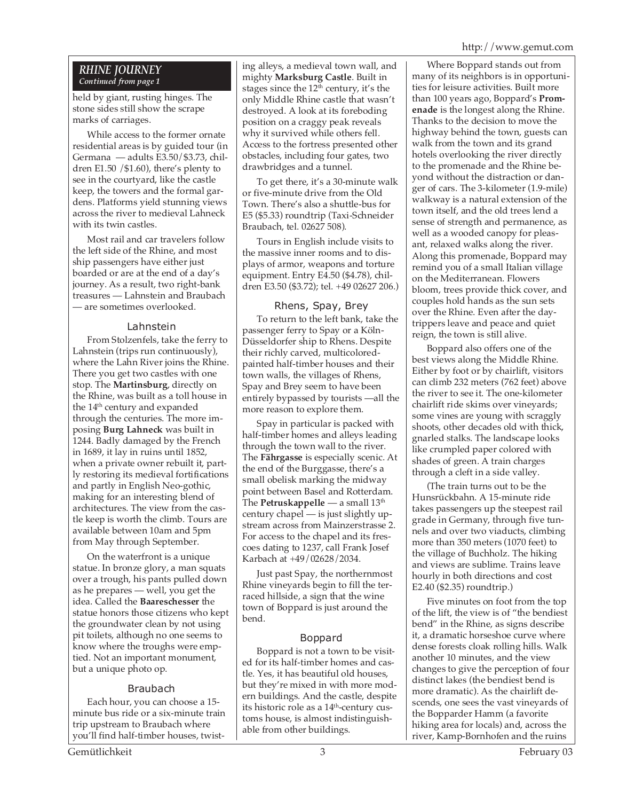#### *RHINE JOURNEY Continued from page 1*

held by giant, rusting hinges. The stone sides still show the scrape marks of carriages.

While access to the former ornate residential areas is by guided tour (in Germana — adults E3.50/\$3.73, children E1.50 /\$1.60), there's plenty to see in the courtyard, like the castle keep, the towers and the formal gardens. Platforms yield stunning views across the river to medieval Lahneck with its twin castles.

Most rail and car travelers follow the left side of the Rhine, and most ship passengers have either just boarded or are at the end of a day's journey. As a result, two right-bank treasures — Lahnstein and Braubach — are sometimes overlooked.

#### Lahnstein

From Stolzenfels, take the ferry to Lahnstein (trips run continuously), where the Lahn River joins the Rhine. There you get two castles with one stop. The **Martinsburg**, directly on the Rhine, was built as a toll house in the 14<sup>th</sup> century and expanded through the centuries. The more imposing **Burg Lahneck** was built in 1244. Badly damaged by the French in 1689, it lay in ruins until 1852, when a private owner rebuilt it, partly restoring its medieval fortifications and partly in English Neo-gothic, making for an interesting blend of architectures. The view from the castle keep is worth the climb. Tours are available between 10am and 5pm from May through September.

On the waterfront is a unique statue. In bronze glory, a man squats over a trough, his pants pulled down as he prepares — well, you get the idea. Called the **Baareschesser** the statue honors those citizens who kept the groundwater clean by not using pit toilets, although no one seems to know where the troughs were emptied. Not an important monument, but a unique photo op.

#### Braubach

Each hour, you can choose a 15 minute bus ride or a six-minute train trip upstream to Braubach where you'll find half-timber houses, twisting alleys, a medieval town wall, and mighty **Marksburg Castle**. Built in stages since the  $12<sup>th</sup>$  century, it's the only Middle Rhine castle that wasn't destroyed. A look at its foreboding position on a craggy peak reveals why it survived while others fell. Access to the fortress presented other obstacles, including four gates, two drawbridges and a tunnel.

To get there, it's a 30-minute walk or five-minute drive from the Old Town. There's also a shuttle-bus for E5 (\$5.33) roundtrip (Taxi-Schneider Braubach, tel. 02627 508).

Tours in English include visits to the massive inner rooms and to displays of armor, weapons and torture equipment. Entry E4.50 (\$4.78), children E3.50 (\$3.72); tel. +49 02627 206.)

### Rhens, Spay, Brey

To return to the left bank, take the passenger ferry to Spay or a Köln-Düsseldorfer ship to Rhens. Despite their richly carved, multicoloredpainted half-timber houses and their town walls, the villages of Rhens, Spay and Brey seem to have been entirely bypassed by tourists —all the more reason to explore them.

Spay in particular is packed with half-timber homes and alleys leading through the town wall to the river. The **Fährgasse** is especially scenic. At the end of the Burggasse, there's a small obelisk marking the midway point between Basel and Rotterdam. The **Petruskappelle** — a small 13th century chapel — is just slightly upstream across from Mainzerstrasse 2. For access to the chapel and its frescoes dating to 1237, call Frank Josef Karbach at +49/02628/2034.

Just past Spay, the northernmost Rhine vineyards begin to fill the terraced hillside, a sign that the wine town of Boppard is just around the bend.

#### Boppard

Boppard is not a town to be visited for its half-timber homes and castle. Yes, it has beautiful old houses, but they're mixed in with more modern buildings. And the castle, despite its historic role as a 14<sup>th</sup>-century customs house, is almost indistinguishable from other buildings.

Where Boppard stands out from many of its neighbors is in opportunities for leisure activities. Built more than 100 years ago, Boppard's **Promenade** is the longest along the Rhine. Thanks to the decision to move the highway behind the town, guests can walk from the town and its grand hotels overlooking the river directly to the promenade and the Rhine beyond without the distraction or danger of cars. The 3-kilometer (1.9-mile) walkway is a natural extension of the town itself, and the old trees lend a sense of strength and permanence, as well as a wooded canopy for pleasant, relaxed walks along the river. Along this promenade, Boppard may remind you of a small Italian village on the Mediterranean. Flowers bloom, trees provide thick cover, and couples hold hands as the sun sets over the Rhine. Even after the daytrippers leave and peace and quiet reign, the town is still alive.

Boppard also offers one of the best views along the Middle Rhine. Either by foot or by chairlift, visitors can climb 232 meters (762 feet) above the river to see it. The one-kilometer chairlift ride skims over vineyards; some vines are young with scraggly shoots, other decades old with thick, gnarled stalks. The landscape looks like crumpled paper colored with shades of green. A train charges through a cleft in a side valley.

(The train turns out to be the Hunsrückbahn. A 15-minute ride takes passengers up the steepest rail grade in Germany, through five tunnels and over two viaducts, climbing more than 350 meters (1070 feet) to the village of Buchholz. The hiking and views are sublime. Trains leave hourly in both directions and cost E2.40 (\$2.35) roundtrip.)

Five minutes on foot from the top of the lift, the view is of "the bendiest bend" in the Rhine, as signs describe it, a dramatic horseshoe curve where dense forests cloak rolling hills. Walk another 10 minutes, and the view changes to give the perception of four distinct lakes (the bendiest bend is more dramatic). As the chairlift descends, one sees the vast vineyards of the Bopparder Hamm (a favorite hiking area for locals) and, across the river, Kamp-Bornhofen and the ruins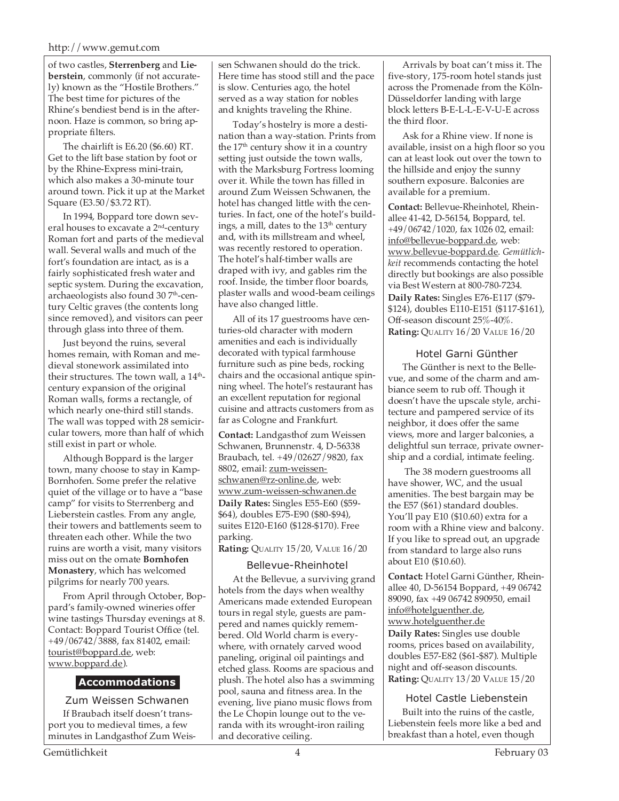of two castles, **Sterrenberg** and **Lieberstein**, commonly (if not accurately) known as the "Hostile Brothers." The best time for pictures of the Rhine's bendiest bend is in the afternoon. Haze is common, so bring appropriate filters.

The chairlift is E6.20 (\$6.60) RT. Get to the lift base station by foot or by the Rhine-Express mini-train, which also makes a 30-minute tour around town. Pick it up at the Market Square (E3.50/\$3.72 RT).

In 1994, Boppard tore down several houses to excavate a 2nd-century Roman fort and parts of the medieval wall. Several walls and much of the fort's foundation are intact, as is a fairly sophisticated fresh water and septic system. During the excavation, archaeologists also found 30 7<sup>th</sup>-century Celtic graves (the contents long since removed), and visitors can peer through glass into three of them.

Just beyond the ruins, several homes remain, with Roman and medieval stonework assimilated into their structures. The town wall, a  $14<sup>th</sup>$ century expansion of the original Roman walls, forms a rectangle, of which nearly one-third still stands. The wall was topped with 28 semicircular towers, more than half of which still exist in part or whole.

Although Boppard is the larger town, many choose to stay in Kamp-Bornhofen. Some prefer the relative quiet of the village or to have a "base camp" for visits to Sterrenberg and Lieberstein castles. From any angle, their towers and battlements seem to threaten each other. While the two ruins are worth a visit, many visitors miss out on the ornate **Bornhofen Monastery**, which has welcomed pilgrims for nearly 700 years.

From April through October, Boppard's family-owned wineries offer wine tastings Thursday evenings at 8. Contact: Boppard Tourist Office (tel. +49/06742/3888, fax 81402, email: tourist@boppard.de, web: www.boppard.de).

#### **Accommodations**

Zum Weissen Schwanen If Braubach itself doesn't transport you to medieval times, a few minutes in Landgasthof Zum Weissen Schwanen should do the trick. Here time has stood still and the pace is slow. Centuries ago, the hotel served as a way station for nobles and knights traveling the Rhine.

Today's hostelry is more a destination than a way-station. Prints from the  $17<sup>th</sup>$  century show it in a country setting just outside the town walls, with the Marksburg Fortress looming over it. While the town has filled in around Zum Weissen Schwanen, the hotel has changed little with the centuries. In fact, one of the hotel's buildings, a mill, dates to the 13<sup>th</sup> century and, with its millstream and wheel, was recently restored to operation. The hotel's half-timber walls are draped with ivy, and gables rim the roof. Inside, the timber floor boards, plaster walls and wood-beam ceilings have also changed little.

All of its 17 guestrooms have centuries-old character with modern amenities and each is individually decorated with typical farmhouse furniture such as pine beds, rocking chairs and the occasional antique spinning wheel. The hotel's restaurant has an excellent reputation for regional cuisine and attracts customers from as far as Cologne and Frankfurt.

**Contact:** Landgasthof zum Weissen Schwanen, Brunnenstr. 4, D-56338 Braubach, tel. +49/02627/9820, fax 8802, email: zum-weissenschwanen@rz-online.de, web: www.zum-weissen-schwanen.de **Daily Rates:** Singles E55-E60 (\$59- \$64), doubles E75-E90 (\$80-\$94), suites E120-E160 (\$128-\$170). Free parking.

**Rating:** QUALITY 15/20, VALUE 16/20

#### Bellevue-Rheinhotel

At the Bellevue, a surviving grand hotels from the days when wealthy Americans made extended European tours in regal style, guests are pampered and names quickly remembered. Old World charm is everywhere, with ornately carved wood paneling, original oil paintings and etched glass. Rooms are spacious and plush. The hotel also has a swimming pool, sauna and fitness area. In the evening, live piano music flows from the Le Chopin lounge out to the veranda with its wrought-iron railing and decorative ceiling.

Arrivals by boat can't miss it. The five-story, 175-room hotel stands just across the Promenade from the Köln-Düsseldorfer landing with large block letters B-E-L-L-E-V-U-E across the third floor.

Ask for a Rhine view. If none is available, insist on a high floor so you can at least look out over the town to the hillside and enjoy the sunny southern exposure. Balconies are available for a premium.

**Contact:** Bellevue-Rheinhotel, Rheinallee 41-42, D-56154, Boppard, tel. +49/06742/1020, fax 1026 02, email: info@bellevue-boppard.de, web: www.bellevue-boppard.de. *Gemütlichkeit* recommends contacting the hotel directly but bookings are also possible via Best Western at 800-780-7234. **Daily Rates:** Singles E76-E117 (\$79- \$124), doubles E110-E151 (\$117-\$161), Off-season discount 25%-40%. **Rating:** QUALITY 16/20 VALUE 16/20

#### Hotel Garni Günther

The Günther is next to the Bellevue, and some of the charm and ambiance seem to rub off. Though it doesn't have the upscale style, architecture and pampered service of its neighbor, it does offer the same views, more and larger balconies, a delightful sun terrace, private ownership and a cordial, intimate feeling.

 The 38 modern guestrooms all have shower, WC, and the usual amenities. The best bargain may be the E57 (\$61) standard doubles. You'll pay E10 (\$10.60) extra for a room with a Rhine view and balcony. If you like to spread out, an upgrade from standard to large also runs about E10 (\$10.60).

**Contact:** Hotel Garni Günther, Rheinallee 40, D-56154 Boppard, +49 06742 89090, fax +49 06742 890950, email info@hotelguenther.de, www.hotelguenther.de **Daily Rates:** Singles use double rooms, prices based on availability, doubles E57-E82 (\$61-\$87). Multiple night and off-season discounts. **Rating:** QUALITY 13/20 VALUE 15/20

Hotel Castle Liebenstein

Built into the ruins of the castle, Liebenstein feels more like a bed and breakfast than a hotel, even though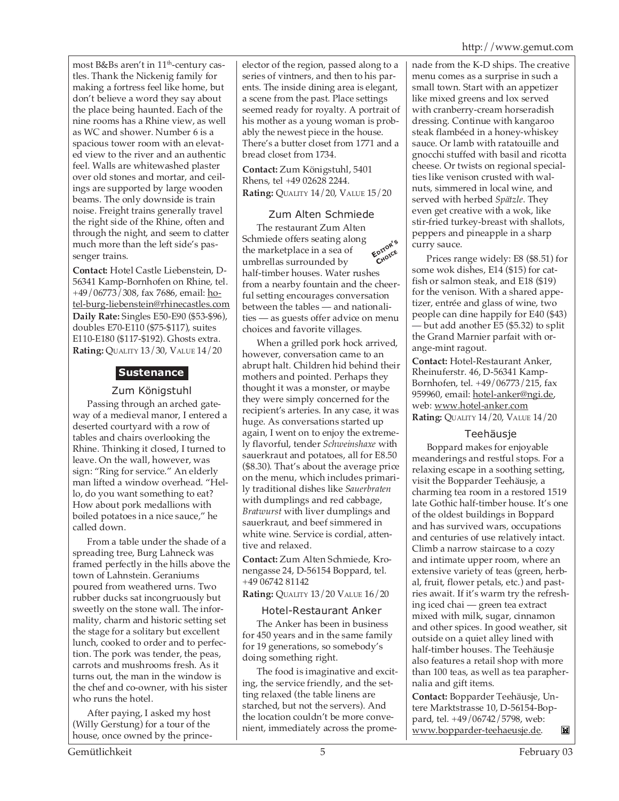most B&Bs aren't in 11<sup>th</sup>-century castles. Thank the Nickenig family for making a fortress feel like home, but don't believe a word they say about the place being haunted. Each of the nine rooms has a Rhine view, as well as WC and shower. Number 6 is a spacious tower room with an elevated view to the river and an authentic feel. Walls are whitewashed plaster over old stones and mortar, and ceilings are supported by large wooden beams. The only downside is train noise. Freight trains generally travel the right side of the Rhine, often and through the night, and seem to clatter much more than the left side's passenger trains.

**Contact:** Hotel Castle Liebenstein, D-56341 Kamp-Bornhofen on Rhine, tel. +49/06773/308, fax 7686, email: hotel-burg-liebenstein@rhinecastles.com **Daily Rate:** Singles E50-E90 (\$53-\$96), doubles E70-E110 (\$75-\$117), suites E110-E180 (\$117-\$192). Ghosts extra. **Rating:** QUALITY 13/30, VALUE 14/20

## **Sustenance**

#### Zum Königstuhl

Passing through an arched gateway of a medieval manor, I entered a deserted courtyard with a row of tables and chairs overlooking the Rhine. Thinking it closed, I turned to leave. On the wall, however, was sign: "Ring for service." An elderly man lifted a window overhead. "Hello, do you want something to eat? How about pork medallions with boiled potatoes in a nice sauce," he called down.

From a table under the shade of a spreading tree, Burg Lahneck was framed perfectly in the hills above the town of Lahnstein. Geraniums poured from weathered urns. Two rubber ducks sat incongruously but sweetly on the stone wall. The informality, charm and historic setting set the stage for a solitary but excellent lunch, cooked to order and to perfection. The pork was tender, the peas, carrots and mushrooms fresh. As it turns out, the man in the window is the chef and co-owner, with his sister who runs the hotel.

After paying, I asked my host (Willy Gerstung) for a tour of the house, once owned by the princeelector of the region, passed along to a series of vintners, and then to his parents. The inside dining area is elegant, a scene from the past. Place settings seemed ready for royalty. A portrait of his mother as a young woman is probably the newest piece in the house. There's a butter closet from 1771 and a bread closet from 1734.

**Contact:** Zum Königstuhl, 5401 Rhens, tel +49 02628 2244. **Rating:** QUALITY 14/20, VALUE 15/20

### Zum Alten Schmiede

**EDITOR'<sup>S</sup> CHOICE** The restaurant Zum Alten Schmiede offers seating along the marketplace in a sea of umbrellas surrounded by half-timber houses. Water rushes from a nearby fountain and the cheerful setting encourages conversation between the tables — and nationalities — as guests offer advice on menu choices and favorite villages.

When a grilled pork hock arrived, however, conversation came to an abrupt halt. Children hid behind their mothers and pointed. Perhaps they thought it was a monster, or maybe they were simply concerned for the recipient's arteries. In any case, it was huge. As conversations started up again, I went on to enjoy the extremely flavorful, tender *Schweinshaxe* with sauerkraut and potatoes, all for E8.50 (\$8.30). That's about the average price on the menu, which includes primarily traditional dishes like *Sauerbraten* with dumplings and red cabbage, *Bratwurst* with liver dumplings and sauerkraut, and beef simmered in white wine. Service is cordial, attentive and relaxed.

**Contact:** Zum Alten Schmiede, Kronengasse 24, D-56154 Boppard, tel. +49 06742 81142

**Rating:** QUALITY 13/20 VALUE 16/20

#### Hotel-Restaurant Anker

The Anker has been in business for 450 years and in the same family for 19 generations, so somebody's doing something right.

The food is imaginative and exciting, the service friendly, and the setting relaxed (the table linens are starched, but not the servers). And the location couldn't be more convenient, immediately across the promenade from the K-D ships. The creative menu comes as a surprise in such a small town. Start with an appetizer like mixed greens and lox served with cranberry-cream horseradish dressing. Continue with kangaroo steak flambéed in a honey-whiskey sauce. Or lamb with ratatouille and gnocchi stuffed with basil and ricotta cheese. Or twists on regional specialties like venison crusted with walnuts, simmered in local wine, and served with herbed *Spätzle*. They even get creative with a wok, like stir-fried turkey-breast with shallots, peppers and pineapple in a sharp curry sauce.

Prices range widely: E8 (\$8.51) for some wok dishes, E14 (\$15) for catfish or salmon steak, and E18 (\$19) for the venison. With a shared appetizer, entrée and glass of wine, two people can dine happily for E40 (\$43) — but add another E5 (\$5.32) to split the Grand Marnier parfait with orange-mint ragout.

**Contact:** Hotel-Restaurant Anker, Rheinuferstr. 46, D-56341 Kamp-Bornhofen, tel. +49/06773/215, fax 959960, email: hotel-anker@ngi.de, web: www.hotel-anker.com **Rating:** QUALITY 14/20, VALUE 14/20

#### Teehäusje

Boppard makes for enjoyable meanderings and restful stops. For a relaxing escape in a soothing setting, visit the Bopparder Teehäusje, a charming tea room in a restored 1519 late Gothic half-timber house. It's one of the oldest buildings in Boppard and has survived wars, occupations and centuries of use relatively intact. Climb a narrow staircase to a cozy and intimate upper room, where an extensive variety of teas (green, herbal, fruit, flower petals, etc.) and pastries await. If it's warm try the refreshing iced chai — green tea extract mixed with milk, sugar, cinnamon and other spices. In good weather, sit outside on a quiet alley lined with half-timber houses. The Teehäusje also features a retail shop with more than 100 teas, as well as tea paraphernalia and gift items.

**Contact:** Bopparder Teehäusje, Untere Marktstrasse 10, D-56154-Boppard, tel. +49/06742/5798, web: www.bopparder-teehaeusje.de.N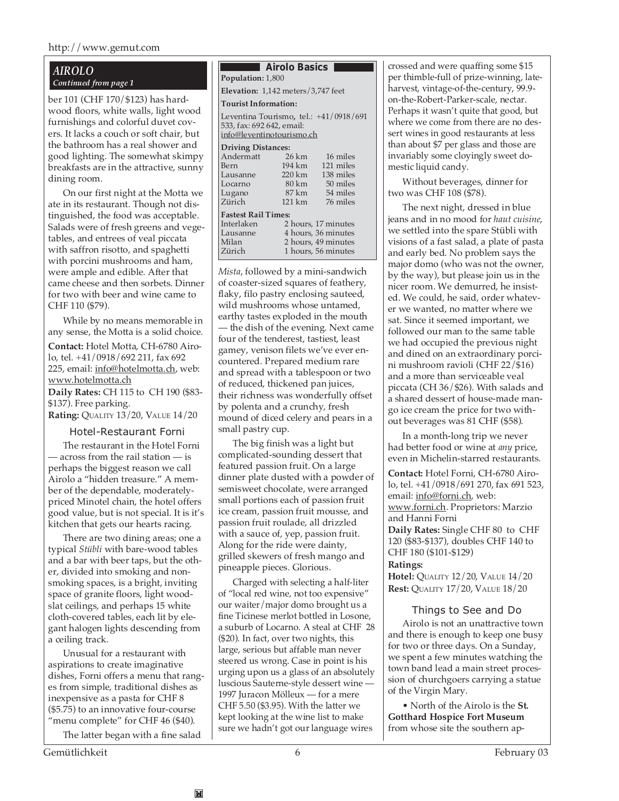#### *AIROLO Continued from page 1*

ber 101 (CHF 170/\$123) has hardwood floors, white walls, light wood furnishings and colorful duvet covers. It lacks a couch or soft chair, but the bathroom has a real shower and good lighting. The somewhat skimpy breakfasts are in the attractive, sunny dining room.

On our first night at the Motta we ate in its restaurant. Though not distinguished, the food was acceptable. Salads were of fresh greens and vegetables, and entrees of veal piccata with saffron risotto, and spaghetti with porcini mushrooms and ham, were ample and edible. After that came cheese and then sorbets. Dinner for two with beer and wine came to CHF 110 (\$79).

While by no means memorable in any sense, the Motta is a solid choice.

**Contact:** Hotel Motta, CH-6780 Airolo, tel. +41/0918/692 211, fax 692 225, email: info@hotelmotta.ch, web: www.hotelmotta.ch

**Daily Rates:** CH 115 to CH 190 (\$83- \$137). Free parking.

**Rating:** QUALITY 13/20, VALUE 14/20

#### Hotel-Restaurant Forni

The restaurant in the Hotel Forni — across from the rail station — is perhaps the biggest reason we call Airolo a "hidden treasure." A member of the dependable, moderatelypriced Minotel chain, the hotel offers good value, but is not special. It is it's kitchen that gets our hearts racing.

There are two dining areas; one a typical *Stübli* with bare-wood tables and a bar with beer taps, but the other, divided into smoking and nonsmoking spaces, is a bright, inviting space of granite floors, light woodslat ceilings, and perhaps 15 white cloth-covered tables, each lit by elegant halogen lights descending from a ceiling track.

Unusual for a restaurant with aspirations to create imaginative dishes, Forni offers a menu that ranges from simple, traditional dishes as inexpensive as a pasta for CHF 8 (\$5.75) to an innovative four-course "menu complete" for CHF 46 (\$40).

The latter began with a fine salad

M

#### **Airolo Basics Population:** 1,800

**Elevation:** 1,142 meters/3,747 feet

#### **Tourist Information:**

Leventina Tourismo**,** tel.: +41/0918/691 533, fax: 692 642, email: info@leventinotourismo.ch

| <b>Driving Distances:</b>  |                     |                     |  |  |  |  |
|----------------------------|---------------------|---------------------|--|--|--|--|
| Andermatt                  | $26 \mathrm{km}$    | 16 miles            |  |  |  |  |
| Bern                       | 194 km              | 121 miles           |  |  |  |  |
| Lausanne                   | $220 \mathrm{km}$   | 138 miles           |  |  |  |  |
| Locarno                    | 80 km               | 50 miles            |  |  |  |  |
| Lugano                     | 87 km               | 54 miles            |  |  |  |  |
| Zürich                     | 121 km              | 76 miles            |  |  |  |  |
| <b>Fastest Rail Times:</b> |                     |                     |  |  |  |  |
| Interlaken                 | 2 hours, 17 minutes |                     |  |  |  |  |
| Lausanne                   | 4 hours, 36 minutes |                     |  |  |  |  |
| Milan                      | 2 hours, 49 minutes |                     |  |  |  |  |
| Zürich                     |                     | 1 hours, 56 minutes |  |  |  |  |

*Mista*, followed by a mini-sandwich of coaster-sized squares of feathery, flaky, filo pastry enclosing sauteed, wild mushrooms whose untamed, earthy tastes exploded in the mouth — the dish of the evening. Next came four of the tenderest, tastiest, least gamey, venison filets we've ever encountered. Prepared medium rare and spread with a tablespoon or two of reduced, thickened pan juices, their richness was wonderfully offset by polenta and a crunchy, fresh mound of diced celery and pears in a small pastry cup.

The big finish was a light but complicated-sounding dessert that featured passion fruit. On a large dinner plate dusted with a powder of semisweet chocolate, were arranged small portions each of passion fruit ice cream, passion fruit mousse, and passion fruit roulade, all drizzled with a sauce of, yep, passion fruit. Along for the ride were dainty, grilled skewers of fresh mango and pineapple pieces. Glorious.

Charged with selecting a half-liter of "local red wine, not too expensive" our waiter/major domo brought us a fine Ticinese merlot bottled in Losone, a suburb of Locarno. A steal at CHF 28 (\$20). In fact, over two nights, this large, serious but affable man never steered us wrong. Case in point is his urging upon us a glass of an absolutely luscious Sauterne-style dessert wine — 1997 Juracon Mölleux — for a mere CHF 5.50 (\$3.95). With the latter we kept looking at the wine list to make sure we hadn't got our language wires

crossed and were quaffing some \$15 per thimble-full of prize-winning, lateharvest, vintage-of-the-century, 99.9 on-the-Robert-Parker-scale, nectar. Perhaps it wasn't quite that good, but where we come from there are no dessert wines in good restaurants at less than about \$7 per glass and those are invariably some cloyingly sweet domestic liquid candy.

Without beverages, dinner for two was CHF 108 (\$78).

The next night, dressed in blue jeans and in no mood for *haut cuisine*, we settled into the spare Stübli with visions of a fast salad, a plate of pasta and early bed. No problem says the major domo (who was not the owner, by the way), but please join us in the nicer room. We demurred, he insisted. We could, he said, order whatever we wanted, no matter where we sat. Since it seemed important, we followed our man to the same table we had occupied the previous night and dined on an extraordinary porcini mushroom ravioli (CHF 22/\$16) and a more than serviceable veal piccata (CH 36/\$26). With salads and a shared dessert of house-made mango ice cream the price for two without beverages was 81 CHF (\$58).

In a month-long trip we never had better food or wine at *any* price, even in Michelin-starred restaurants.

**Contact:** Hotel Forni, CH-6780 Airolo, tel. +41/0918/691 270, fax 691 523, email: info@forni.ch, web: www.forni.ch. Proprietors: Marzio and Hanni Forni **Daily Rates:** Single CHF 80 to CHF 120 (\$83-\$137), doubles CHF 140 to CHF 180 (\$101-\$129) **Ratings:**

**Hotel:** QUALITY 12/20, VALUE 14/20 **Rest:** QUALITY 17/20, VALUE 18/20

#### Things to See and Do

Airolo is not an unattractive town and there is enough to keep one busy for two or three days. On a Sunday, we spent a few minutes watching the town band lead a main street procession of churchgoers carrying a statue of the Virgin Mary.

• North of the Airolo is the **St. Gotthard Hospice Fort Museum** from whose site the southern ap-

Gemütlichkeit 6 February 03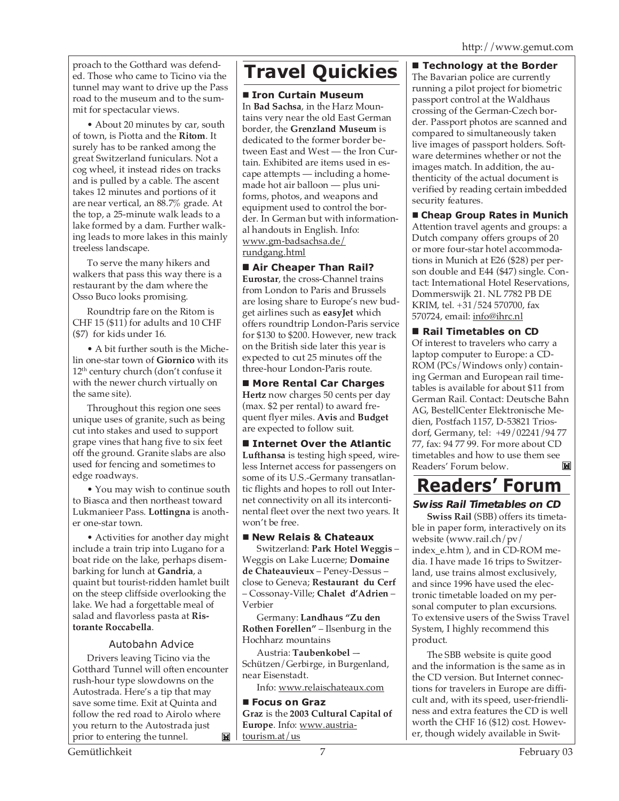proach to the Gotthard was defended. Those who came to Ticino via the tunnel may want to drive up the Pass road to the museum and to the summit for spectacular views.

• About 20 minutes by car, south of town, is Piotta and the **Ritom**. It surely has to be ranked among the great Switzerland funiculars. Not a cog wheel, it instead rides on tracks and is pulled by a cable. The ascent takes 12 minutes and portions of it are near vertical, an 88.7% grade. At the top, a 25-minute walk leads to a lake formed by a dam. Further walking leads to more lakes in this mainly treeless landscape.

To serve the many hikers and walkers that pass this way there is a restaurant by the dam where the Osso Buco looks promising.

Roundtrip fare on the Ritom is CHF 15 (\$11) for adults and 10 CHF (\$7) for kids under 16.

• A bit further south is the Michelin one-star town of **Giornico** with its 12<sup>th</sup> century church (don't confuse it with the newer church virtually on the same site).

Throughout this region one sees unique uses of granite, such as being cut into stakes and used to support grape vines that hang five to six feet off the ground. Granite slabs are also used for fencing and sometimes to edge roadways.

• You may wish to continue south to Biasca and then northeast toward Lukmanieer Pass. **Lottingna** is another one-star town.

• Activities for another day might include a train trip into Lugano for a boat ride on the lake, perhaps disembarking for lunch at **Gandria**, a quaint but tourist-ridden hamlet built on the steep cliffside overlooking the lake. We had a forgettable meal of salad and flavorless pasta at **Ristorante Roccabella**.

#### Autobahn Advice

Drivers leaving Ticino via the Gotthard Tunnel will often encounter rush-hour type slowdowns on the Autostrada. Here's a tip that may save some time. Exit at Quinta and follow the red road to Airolo where you return to the Autostrada just prior to entering the tunnel. ME I

# **Travel Quickies Technology at the Border**

#### **Iron Curtain Museum**

In **Bad Sachsa**, in the Harz Mountains very near the old East German border, the **Grenzland Museum** is dedicated to the former border between East and West — the Iron Curtain. Exhibited are items used in escape attempts — including a homemade hot air balloon — plus uniforms, photos, and weapons and equipment used to control the border. In German but with informational handouts in English. Info: www.gm-badsachsa.de/ rundgang.html

#### **Air Cheaper Than Rail?**

**Eurostar**, the cross-Channel trains from London to Paris and Brussels are losing share to Europe's new budget airlines such as **easyJet** which offers roundtrip London-Paris service for \$130 to \$200. However, new track on the British side later this year is expected to cut 25 minutes off the three-hour London-Paris route.

 **More Rental Car Charges Hertz** now charges 50 cents per day (max. \$2 per rental) to award frequent flyer miles. **Avis** and **Budget** are expected to follow suit.

 **Internet Over the Atlantic Lufthansa** is testing high speed, wireless Internet access for passengers on some of its U.S.-Germany transatlantic flights and hopes to roll out Internet connectivity on all its intercontinental fleet over the next two years. It won't be free.

#### **New Relais & Chateaux**

Switzerland: **Park Hotel Weggis** – Weggis on Lake Lucerne; **Domaine de Chateauvieux** – Peney-Dessus – close to Geneva; **Restaurant du Cerf** – Cossonay-Ville; **Chalet d'Adrien** – Verbier

Germany: **Landhaus "Zu den Rothen Forellen"** – Ilsenburg in the Hochharz mountains

Austria: **Taubenkobel** –- Schützen/Gerbirge, in Burgenland, near Eisenstadt.

Info: www.relaischateaux.com

 **Focus on Graz Graz** is the **2003 Cultural Capital of Europe**. Info: www.austriatourism.at/us

The Bavarian police are currently running a pilot project for biometric passport control at the Waldhaus crossing of the German-Czech border. Passport photos are scanned and compared to simultaneously taken live images of passport holders. Software determines whether or not the images match. In addition, the authenticity of the actual document is verified by reading certain imbedded security features.

**Cheap Group Rates in Munich**

Attention travel agents and groups: a Dutch company offers groups of 20 or more four-star hotel accommodations in Munich at E26 (\$28) per person double and E44 (\$47) single. Contact: International Hotel Reservations, Dommerswijk 21. NL 7782 PB DE KRIM, tel. +31/524 570700, fax 570724, email: info@ihrc.nl

#### ■ Rail Timetables on CD

Of interest to travelers who carry a laptop computer to Europe: a CD-ROM (PCs/Windows only) containing German and European rail timetables is available for about \$11 from German Rail. Contact: Deutsche Bahn AG, BestellCenter Elektronische Medien, Postfach 1157, D-53821 Triosdorf, Germany, tel: +49/02241/94 77 77, fax: 94 77 99. For more about CD timetables and how to use them see Readers' Forum below. M

# **Readers' Forum**

#### **Swiss Rail Timetables on CD**

**Swiss Rail** (SBB) offers its timetable in paper form, interactively on its website (www.rail.ch/pv/ index\_e.htm ), and in CD-ROM media. I have made 16 trips to Switzerland, use trains almost exclusively, and since 1996 have used the electronic timetable loaded on my personal computer to plan excursions. To extensive users of the Swiss Travel System, I highly recommend this product.

The SBB website is quite good and the information is the same as in the CD version. But Internet connections for travelers in Europe are difficult and, with its speed, user-friendliness and extra features the CD is well worth the CHF 16 (\$12) cost. However, though widely available in Swit-

Gemütlichkeit February 03